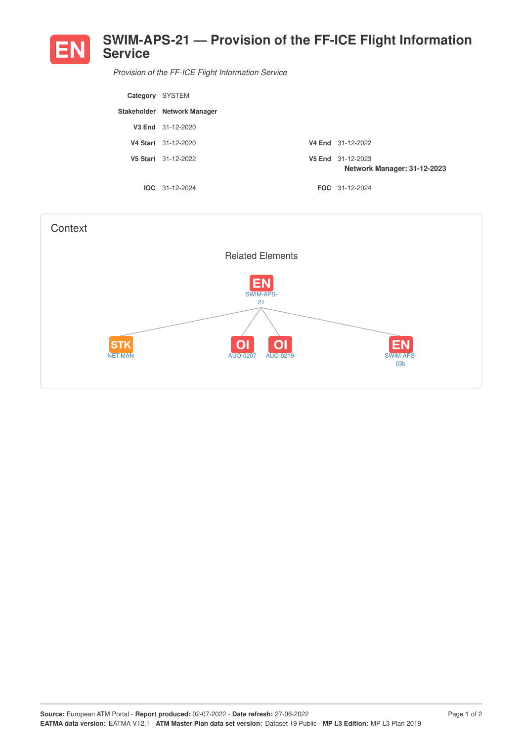

*Provision of the FF-ICE Flight Information Service*

| Category SYSTEM |                             |                                                  |
|-----------------|-----------------------------|--------------------------------------------------|
|                 | Stakeholder Network Manager |                                                  |
|                 | V3 End 31-12-2020           |                                                  |
|                 | V4 Start 31-12-2020         | V4 End 31-12-2022                                |
|                 | V5 Start 31-12-2022         | V5 End 31-12-2023<br>Network Manager: 31-12-2023 |
|                 | $IOC 31-12-2024$            | <b>FOC</b> 31-12-2024                            |